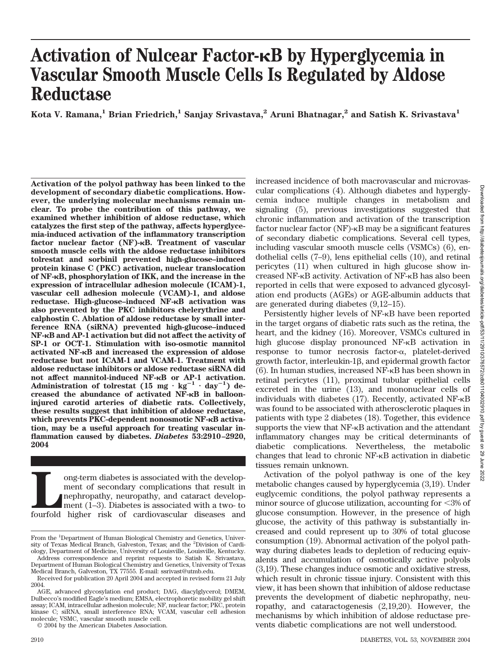# **Activation of Nulcear Factor-B by Hyperglycemia in Vascular Smooth Muscle Cells Is Regulated by Aldose Reductase**

Kota V. Ramana,<sup>1</sup> Brian Friedrich,<sup>1</sup> Sanjay Srivastava,<sup>2</sup> Aruni Bhatnagar,<sup>2</sup> and Satish K. Srivastava<sup>1</sup>

**Activation of the polyol pathway has been linked to the development of secondary diabetic complications. However, the underlying molecular mechanisms remain unclear. To probe the contribution of this pathway, we examined whether inhibition of aldose reductase, which catalyzes the first step of the pathway, affects hyperglycemia-induced activation of the inflammatory transcription** factor nuclear factor (NF)- $\kappa$ B. Treatment of vascular **smooth muscle cells with the aldose reductase inhibitors tolrestat and sorbinil prevented high-glucose–induced protein kinase C (PKC) activation, nuclear translocation of NF-B, phosphorylation of IKK, and the increase in the expression of intracellular adhesion molecule (ICAM)-1, vascular cell adhesion molecule (VCAM)-1, and aldose reductase. High-glucose–induced NF-B activation was also prevented by the PKC inhibitors chelerythrine and calphostin C. Ablation of aldose reductase by small interference RNA (siRNA) prevented high-glucose–induced NF-B and AP-1 activation but did not affect the activity of SP-1 or OCT-1. Stimulation with iso-osmotic mannitol activated NF-B and increased the expression of aldose reductase but not ICAM-1 and VCAM-1. Treatment with aldose reductase inhibitors or aldose reductase siRNA did not affect mannitol-induced NF-B or AP-1 activation.** Administration of tolrestat (15 mg  $\cdot$  kg<sup>-1</sup>  $\cdot$  day<sup>-1</sup>) de**creased the abundance of activated NF-B in ballooninjured carotid arteries of diabetic rats. Collectively, these results suggest that inhibition of aldose reductase, which prevents PKC-dependent nonosmotic NF-** $\kappa$ **B activation, may be a useful approach for treating vascular inflammation caused by diabetes.** *Diabetes* **53:2910 –2920, 2004**

ong-term diabetes is associated with the development of secondary complications that result in nephropathy, neuropathy, and cataract development (1–3). Diabetes is associated with a two- to fourfold higher risk of cardiova ment of secondary complications that result in nephropathy, neuropathy, and cataract development (1–3). Diabetes is associated with a two- to

© 2004 by the American Diabetes Association.

increased incidence of both macrovascular and microvascular complications (4). Although diabetes and hyperglycemia induce multiple changes in metabolism and signaling (5), previous investigations suggested that chronic inflammation and activation of the transcription factor nuclear factor  $(NF)$ - $\kappa$ B may be a significant features of secondary diabetic complications. Several cell types, including vascular smooth muscle cells (VSMCs) (6), endothelial cells (7–9), lens epithelial cells (10), and retinal pericytes (11) when cultured in high glucose show increased NF-KB activity. Activation of NF-KB has also been reported in cells that were exposed to advanced glycosylation end products (AGEs) or AGE-albumin adducts that are generated during diabetes (9,12–15).

Persistently higher levels of NF-<sub>K</sub>B have been reported in the target organs of diabetic rats such as the retina, the heart, and the kidney (16). Moreover, VSMCs cultured in high glucose display pronounced NF- $\kappa$ B activation in  $response$  to tumor necrosis factor- $\alpha$ , platelet-derived growth factor, interleukin-1 $\beta$ , and epidermal growth factor  $(6)$ . In human studies, increased NF- $\kappa$ B has been shown in retinal pericytes (11), proximal tubular epithelial cells excreted in the urine (13), and mononuclear cells of individuals with diabetes  $(17)$ . Recently, activated NF- $\kappa$ B was found to be associated with atherosclerotic plaques in patients with type 2 diabetes (18). Together, this evidence supports the view that  $NF-\kappa B$  activation and the attendant inflammatory changes may be critical determinants of diabetic complications. Nevertheless, the metabolic changes that lead to chronic NF-KB activation in diabetic tissues remain unknown.

Activation of the polyol pathway is one of the key metabolic changes caused by hyperglycemia (3,19). Under euglycemic conditions, the polyol pathway represents a minor source of glucose utilization, accounting for  $\langle 3\% \rangle$  of glucose consumption. However, in the presence of high glucose, the activity of this pathway is substantially increased and could represent up to 30% of total glucose consumption (19). Abnormal activation of the polyol pathway during diabetes leads to depletion of reducing equivalents and accumulation of osmotically active polyols (3,19). These changes induce osmotic and oxidative stress, which result in chronic tissue injury. Consistent with this view, it has been shown that inhibition of aldose reductase prevents the development of diabetic nephropathy, neuropathy, and cataractogenesis (2,19,20). However, the mechanisms by which inhibition of aldose reductase prevents diabetic complications are not well understood.

From the <sup>1</sup>Department of Human Biological Chemistry and Genetics, University of Texas Medical Branch, Galveston, Texas; and the <sup>2</sup> Division of Cardiology, Department of Medicine, University of Louisville, Louisville, Kentucky.

Address correspondence and reprint requests to Satish K. Srivastava, Department of Human Biological Chemistry and Genetics, University of Texas Medical Branch, Galveston, TX 77555. E-mail: ssrivast@utmb.edu.

Received for publication 20 April 2004 and accepted in revised form 21 July 2004.

AGE, advanced glycosylation end product; DAG, diacylglycerol; DMEM, Dulbecco's modified Eagle's medium; EMSA, electrophoretic mobility gel shift assay; ICAM, intracellular adhesion molecule; NF, nuclear factor; PKC, protein kinase C; siRNA, small interference RNA; VCAM, vascular cell adhesion molecule; VSMC, vascular smooth muscle cell.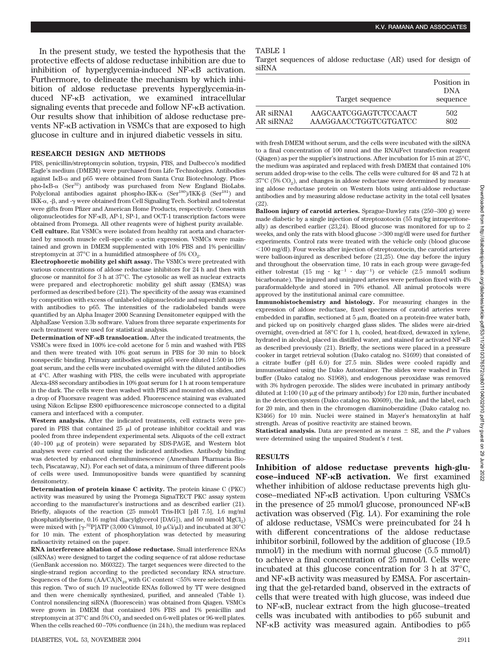In the present study, we tested the hypothesis that the protective effects of aldose reductase inhibition are due to inhibition of hyperglycemia-induced NF- $\kappa$ B activation. Furthermore, to delineate the mechanism by which inhibition of aldose reductase prevents hyperglycemia-induced NF- $\kappa$ B activation, we examined intracellular signaling events that precede and follow NF- $\kappa$ B activation. Our results show that inhibition of aldose reductase prevents NF- $\kappa$ B activation in VSMCs that are exposed to high glucose in culture and in injured diabetic vessels in situ.

#### **RESEARCH DESIGN AND METHODS**

PBS, penicillin/streptomycin solution, trypsin, FBS, and Dulbecco's modified Eagle's medium (DMEM) were purchased from Life Technologies. Antibodies against IKB- $\alpha$  and p65 were obtained from Santa Cruz Biotechnology. Phospho-IKB- $\alpha$  (Ser<sup>32</sup>) antibody was purchased from New England BioLabs. Polyclonal antibodies against phospho-IKK- $\alpha$  (Ser<sup>180</sup>)/IKK- $\beta$  (Ser<sup>181</sup>) and IKK- $\alpha$ , -β, and -γ were obtained from Cell Signaling Tech. Sorbinil and tolrestat were gifts from Pfizer and American Home Products, respectively. Consensus oligonucleotides for  $NF-\kappa B$ , AP-1, SP-1, and OCT-1 transcription factors were obtained from Promega. All other reagents were of highest purity available. **Cell culture.** Rat VSMCs were isolated from healthy rat aorta and characterized by smooth muscle cell-specific  $\alpha$ -actin expression. VSMCs were maintained and grown in DMEM supplemented with 10% FBS and 1% penicillin/ streptomycin at 37 $^{\circ}$ C in a humidified atmosphere of 5% CO<sub>2</sub>.

**Electrophoretic mobility gel shift assay.** The VSMCs were pretreated with various concentrations of aldose reductase inhibitors for 24 h and then with glucose or mannitol for 3 h at 37°C. The cytosolic as well as nuclear extracts were prepared and electrophoretic mobility gel shift assay (EMSA) was performed as described before (21). The specificity of the assay was examined by competition with excess of unlabeled oligonucleotide and supershift assays with antibodies to p65. The intensities of the radiolabeled bands were quantified by an Alpha Imager 2000 Scanning Densitometer equipped with the AlphaEase Version 3.3b software. Values from three separate experiments for each treatment were used for statistical analysis.

**Determination of NF-B translocation.** After the indicated treatments, the VSMCs were fixed in 100% ice-cold acetone for 5 min and washed with PBS and then were treated with 10% goat serum in PBS for 30 min to block nonspecific binding. Primary antibodies against p65 were diluted 1:500 in 10% goat serum, and the cells were incubated overnight with the diluted antibodies at 4°C. After washing with PBS, the cells were incubated with appropriate Alexa-488 secondary antibodies in 10% goat serum for 1 h at room temperature in the dark. The cells were then washed with PBS and mounted on slides, and a drop of Fluorsave reagent was added. Fluorescence staining was evaluated using Nikon Eclipse E800 epifluorescence microscope connected to a digital camera and interfaced with a computer.

**Western analysis.** After the indicated treatments, cell extracts were prepared in PBS that contained  $25 \mu l$  of protease inhibitor cocktail and was pooled from three independent experimental sets. Aliquots of the cell extract  $(40-100 \mu g)$  of protein) were separated by SDS-PAGE, and Western blot analyses were carried out using the indicated antibodies. Antibody binding was detected by enhanced chemiluminescence (Amersham Pharmacia Biotech, Piscataway, NJ). For each set of data, a minimum of three different pools of cells were used. Immunopositive bands were quantified by scanning densitometry.

**Determination of protein kinase C activity.** The protein kinase C (PKC) activity was measured by using the Promega SignaTECT PKC assay system according to the manufacturer's instructions and as described earlier (21). Briefly, aliquots of the reaction (25 mmol/l Tris-HCl [pH 7.5], 1.6 mg/ml phosphatidylserine, 0.16 mg/ml diacylglycerol [DAG]), and 50 mmol/l MgCl<sub>2</sub>) were mixed with  $[\gamma^{32}P]$ ATP (3,000 Ci/mmol, 10  $\mu$ Ci/ $\mu$ l) and incubated at 30°C for 10 min. The extent of phosphorylation was detected by measuring radioactivity retained on the paper.

**RNA interference ablation of aldose reductase.** Small interference RNAs (siRNAs) were designed to target the coding sequence of rat aldose reductase (GenBank accession no. M60322). The target sequences were directed to the single-strand region according to the predicted secondary RNA structure. Sequences of the form  $(AA/CA)N_{19}$  with GC content  $\leq 55\%$  were selected from this region. Two of such 19 nucleotide RNAs followed by TT were designed and then were chemically synthesized, purified, and annealed (Table 1). Control nonsilencing siRNA (fluorescein) was obtained from Qiagen. VSMCs were grown in DMEM that contained 10% FBS and 1% penicillin and streptomycin at 37°C and 5% CO<sub>2</sub> and seeded on 6-well plates or 96-well plates. When the cells reached 60–70% confluence (in 24 h), the medium was replaced

#### TABLE 1

Target sequences of aldose reductase (AR) used for design of siRNA

|           | Target sequence       | Position in<br><b>DNA</b><br>sequence |
|-----------|-----------------------|---------------------------------------|
| AR siRNA1 | AAGCAATCGGAGTCTCCAACT | 502                                   |
| AR siRNA2 | AAAGGAACCTGGTCGTGATCC | 802                                   |

with fresh DMEM without serum, and the cells were incubated with the siRNA to a final concentration of 100 nmol and the RNAiFect transfection reagent (Qiagen) as per the supplier's instructions. After incubation for 15 min at 25°C, the medium was aspirated and replaced with fresh DMEM that contained 10% serum added drop-wise to the cells. The cells were cultured for 48 and 72 h at  $37^{\circ}$ C (5% CO<sub>2</sub>), and changes in aldose reductase were determined by measuring aldose reductase protein on Western blots using anti-aldose reductase antibodies and by measuring aldose reductase activity in the total cell lysates (22).

**Balloon injury of carotid arteries.** Sprague-Dawley rats (250–300 g) were made diabetic by a single injection of streptozotocin (55 mg/kg intraperitoneally) as described earlier (23,24). Blood glucose was monitored for up to 2 weeks, and only the rats with blood glucose  $>\!\!300$  mg/dl were used for further experiments. Control rats were treated with the vehicle only (blood glucose  $100 \,\mathrm{mg/dl}$ . Four weeks after injection of streptozotocin, the carotid arteries were balloon-injured as described before (21,25). One day before the injury and throughout the observation time, 10 rats in each group were gavage-fed either tolrestat (15 mg  $\cdot$  kg<sup>-1</sup>  $\cdot$  day<sup>-1</sup>) or vehicle (2.5 mmol/l sodium bicarbonate). The injured and uninjured arteries were perfusion fixed with 4% paraformaldehyde and stored in 70% ethanol. All animal protocols were approved by the institutional animal care committee.

**Immunohistochemistry and histology.** For measuring changes in the expression of aldose reductase, fixed specimens of carotid arteries were embedded in paraffin, sectioned at 5  $\upmu \textrm{m}$  , floated on a protein-free water bath, and picked up on positively charged glass slides. The slides were air-dried overnight, oven-dried at 58°C for 1 h, cooled, heat-fixed, dewaxed in xylene, hydrated in alcohol, placed in distilled water, and stained for activated NF- $\kappa$ B as described previously (21). Briefly, the sections were placed in a pressure cooker in target retrieval solution (Dako catalog no. S1699) that consisted of a citrate buffer (pH 6.0) for 27.5 min. Slides were cooled rapidly and immunostained using the Dako Autostainer. The slides were washed in Tris buffer (Dako catalog no. S1968), and endogenous peroxidase was removed with 3% hydrogen peroxide. The slides were incubated in primary antibody diluted at 1:100 (10  $\mu$ g of the primary antibody) for 120 min, further incubated in the detection system (Dako catalog no. K0609), the link, and the label, each for 20 min, and then in the chromogen diaminobenzidine (Dako catalog no. K3466) for 10 min. Nuclei were stained in Mayer's hematoxylin at half strength. Areas of positive reactivity are stained brown.

**Statistical analysis.** Data are presented as means  $\pm$  SE, and the *P* values were determined using the unpaired Student's *t* test.

### **RESULTS**

**Inhibition of aldose reductase prevents high-glucose–induced NF-B activation.** We first examined whether inhibition of aldose reductase prevents high glucose–mediated NF- $\kappa$ B activation. Upon culturing VSMCs in the presence of 25 mmol/l glucose, pronounced  $NF-\kappa B$ activation was observed (Fig. 1*A*). For examining the role of aldose reductase, VSMCs were preincubated for 24 h with different concentrations of the aldose reductase inhibitor sorbinil, followed by the addition of glucose (19.5 mmol/l) in the medium with normal glucose (5.5 mmol/l) to achieve a final concentration of 25 mmol/l. Cells were incubated at this glucose concentration for 3 h at 37°C, and NF-KB activity was measured by EMSA. For ascertaining that the gel-retarded band, observed in the extracts of cells that were treated with high glucose, was indeed due to NF-<sub>K</sub>B, nuclear extract from the high glucose–treated cells was incubated with antibodies to p65 subunit and  $NF-\kappa B$  activity was measured again. Antibodies to p65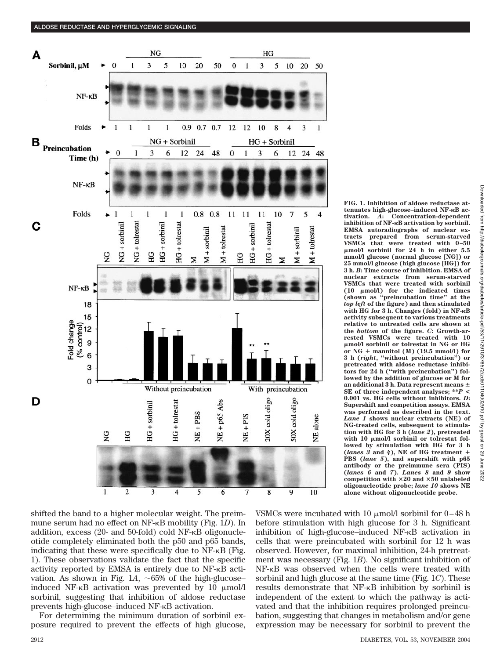

shifted the band to a higher molecular weight. The preimmune serum had no effect on NF-<sub>K</sub>B mobility (Fig. 1D). In addition, excess (20- and 50-fold) cold NF-KB oligonucleotide completely eliminated both the p50 and p65 bands, indicating that these were specifically due to  $NF-\kappa B$  (Fig. 1). These observations validate the fact that the specific activity reported by EMSA is entirely due to  $NF-\kappa B$  activation. As shown in Fig.  $1A$ ,  $\sim 65\%$  of the high-glucose– induced NF- $\kappa$ B activation was prevented by 10  $\mu$ mol/l sorbinil, suggesting that inhibition of aldose reductase prevents high-glucose–induced NF- $\kappa$ B activation.

For determining the minimum duration of sorbinil exposure required to prevent the effects of high glucose, VSMCs were incubated with 10  $\mu$ mol/l sorbinil for 0–48 h before stimulation with high glucose for 3 h. Significant inhibition of high-glucose–induced NF- $\kappa$ B activation in cells that were preincubated with sorbinil for 12 h was observed. However, for maximal inhibition, 24-h pretreatment was necessary (Fig. 1*B*). No significant inhibition of NF- $\kappa$ B was observed when the cells were treated with sorbinil and high glucose at the same time (Fig. 1*C*). These results demonstrate that  $NF-\kappa B$  inhibition by sorbinil is independent of the extent to which the pathway is activated and that the inhibition requires prolonged preincubation, suggesting that changes in metabolism and/or gene expression may be necessary for sorbinil to prevent the

**FIG. 1. Inhibition of aldose reductase attenuates high-glucose–induced NF-B activation.** *A***: Concentration-dependent inhibition of NF-B activation by sorbinil. EMSA autoradiographs of nuclear extracts prepared from serum-starved VSMCs that were treated with 0 –50 mol/l sorbinil for 24 h in either 5.5 mmol/l glucose (normal glucose [NG]) or 25 mmol/l glucose (high glucose [HG]) for 3 h.** *B***: Time course of inhibition. EMSA of nuclear extracts from serum-starved VSMCs that were treated with sorbinil (10 mol/l) for the indicated times (shown as "preincubation time" at the** *top left* **of the figure) and then stimulated with HG for 3 h. Changes (fold) in NF-B activity subsequent to various treatments relative to untreated cells are shown at the** *bottom* **of the figure.** *C***: Growth-arrested VSMCs were treated with 10 mol/l sorbinil or tolrestat in NG or HG** or  $NG +$  mannitol  $(M)$   $(19.5 \text{ mmol/l})$  for **3h(***right***, "without preincubation") or pretreated with aldose reductase inhibitors for 24 h ("with preincubation") followed by the addition of glucose or M for an additional 3 h. Data represent means SE of three independent analyses; \*\****P* **< 0.001 vs. HG cells without inhibitors.** *D***: Supershift and competition assays. EMSA was performed as described in the text.** *Lane 1* **shows nuclear extracts (NE) of NG-treated cells, subsequent to stimulation with HG for 3 h (***lane 2***), pretreated** with 10  $\mu$ mol/l sorbinil or tolrestat fol**lowed by stimulation with HG for 3 h (***lanes 3* **and** *4***), NE of HG treatment PBS (***lane 5***), and supershift with p65 antibody or the preimmune sera (PIS) (***lanes 6* **and** *7***).** *Lanes 8* **and** *9* **show competition with 20 and 50 unlabeled oligonucleotide probe;** *lane 10* **shows NE alone without oligonucleotide probe.**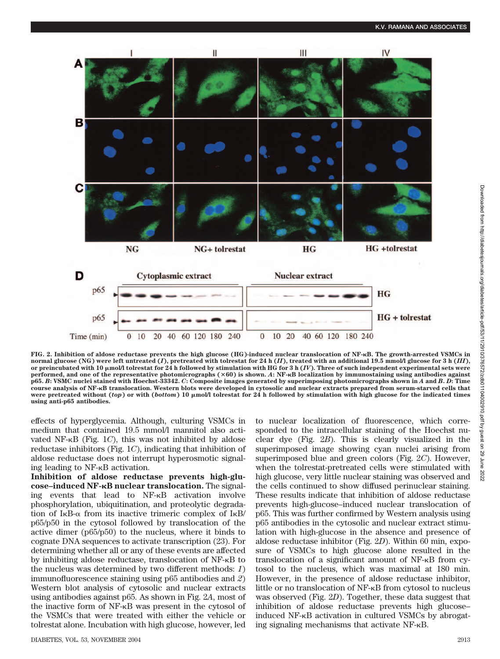

**FIG. 2. Inhibition of aldose reductase prevents the high glucose (HG)-induced nuclear translocation of NF-B. The growth-arrested VSMCs in normal glucose (NG) were left untreated (***I***), pretreated with tolrestat for 24 h (***II***), treated with an additional 19.5 mmol/l glucose for3h(***III***), or preincubated with 10 mol/l tolrestat for 24 h followed by stimulation with HG for3h(***IV***). Three of such independent experimental sets were performed, and one of the representative photomicrographs (60) is shown.** *A***: NF-B localization by immunostaining using antibodies against p65.** *B***: VSMC nuclei stained with Hoechst-33342.** *C***: Composite images generated by superimposing photomicrographs shown in** *A* **and** *B***.** *D***: Time course analysis of NF-B translocation. Western blots were developed in cytosolic and nuclear extracts prepared from serum-starved cells that were pretreated without (***top***) or with (***bottom***) 10 mol/l tolrestat for 24 h followed by stimulation with high glucose for the indicated times using anti-p65 antibodies.**

effects of hyperglycemia. Although, culturing VSMCs in medium that contained 19.5 mmol/l mannitol also activated NF- $\kappa$ B (Fig. 1*C*), this was not inhibited by aldose reductase inhibitors (Fig. 1*C*), indicating that inhibition of aldose reductase does not interrupt hyperosmotic signaling leading to  $NF-\kappa B$  activation.

**Inhibition of aldose reductase prevents high-glucose–induced NF-B nuclear translocation.** The signaling events that lead to NF-KB activation involve phosphorylation, ubiquitination, and proteolytic degradation of  $I \kappa B$ - $\alpha$  from its inactive trimeric complex of  $I \kappa B$ / p65/p50 in the cytosol followed by translocation of the active dimer (p65/p50) to the nucleus, where it binds to cognate DNA sequences to activate transcription (23). For determining whether all or any of these events are affected by inhibiting aldose reductase, translocation of  $NF-\kappa B$  to the nucleus was determined by two different methods: *1*) immunofluorescence staining using p65 antibodies and *2*) Western blot analysis of cytosolic and nuclear extracts using antibodies against p65. As shown in Fig. 2*A*, most of the inactive form of NF- $\kappa$ B was present in the cytosol of the VSMCs that were treated with either the vehicle or tolrestat alone. Incubation with high glucose, however, led

to nuclear localization of fluorescence, which corresponded to the intracellular staining of the Hoechst nuclear dye (Fig. 2*B*). This is clearly visualized in the superimposed image showing cyan nuclei arising from superimposed blue and green colors (Fig. 2*C*). However, when the tolrestat-pretreated cells were stimulated with high glucose, very little nuclear staining was observed and the cells continued to show diffused perinuclear staining. These results indicate that inhibition of aldose reductase prevents high-glucose–induced nuclear translocation of p65. This was further confirmed by Western analysis using p65 antibodies in the cytosolic and nuclear extract stimulation with high-glucose in the absence and presence of aldose reductase inhibitor (Fig. 2*D*). Within 60 min, exposure of VSMCs to high glucose alone resulted in the translocation of a significant amount of  $NF-\kappa B$  from cytosol to the nucleus, which was maximal at 180 min. However, in the presence of aldose reductase inhibitor, little or no translocation of NF- $\kappa$ B from cytosol to nucleus was observed (Fig. 2*D*). Together, these data suggest that inhibition of aldose reductase prevents high glucose– induced  $NF-\kappa B$  activation in cultured VSMCs by abrogating signaling mechanisms that activate NF-B.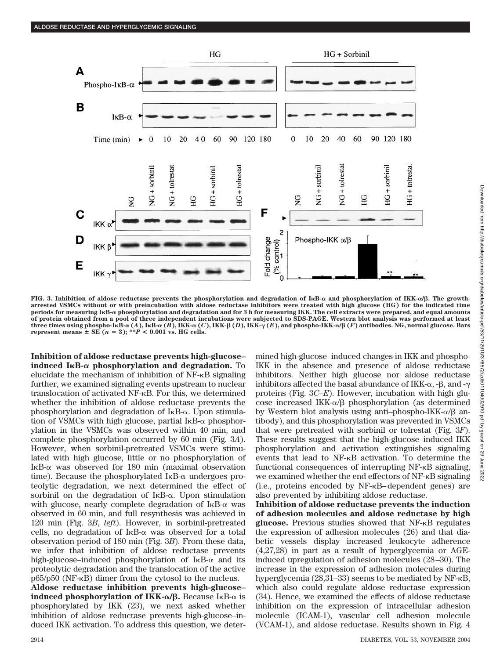

FIG. 3. Inhibition of aldose reductase prevents the phosphorylation and degradation of  $I\kappa B$ - $\alpha$  and phosphorylation of  $I\kappa K$ - $\alpha/\beta$ . The growth**arrested VSMCs without or with preincubation with aldose reductase inhibitors were treated with high glucose (HG) for the indicated time periods for measuring IB- phosphorylation and degradation and for 3 h for measuring IKK. The cell extracts were prepared, and equal amounts of protein obtained from a pool of three independent incubations were subjected to SDS-PAGE. Western blot analysis was performed at least** three times using phospho-IKB- $\alpha$  (A), IKB- $\alpha$  (B), IKK- $\alpha$  (C), IKK- $\beta$  (D), IKK- $\gamma$  (E), and phospho-IKK- $\alpha/\beta$  (F) antibodies. NG, normal glucose. Bars **represent means**  $\pm$  **SE** ( $n = 3$ ); \*\* $P < 0.001$  vs. HG cells.

**Inhibition of aldose reductase prevents high-glucose– induced I<sub>K</sub>B-** $\alpha$  **phosphorylation and degradation.** To elucidate the mechanism of inhibition of  $NF-<sub>K</sub>B$  signaling further, we examined signaling events upstream to nuclear translocation of activated NF-KB. For this, we determined whether the inhibition of aldose reductase prevents the phosphorylation and degradation of IKB-a. Upon stimulation of VSMCs with high glucose, partial  $I\kappa B-\alpha$  phosphorylation in the VSMCs was observed within 40 min, and complete phosphorylation occurred by 60 min (Fig. 3*A*). However, when sorbinil-pretreated VSMCs were stimulated with high glucose, little or no phosphorylation of  $I$ <sub>K</sub>B- $\alpha$  was observed for 180 min (maximal observation time). Because the phosphorylated  $I\kappa B$ - $\alpha$  undergoes proteolytic degradation, we next determined the effect of sorbinil on the degradation of  $I\kappa B$ - $\alpha$ . Upon stimulation with glucose, nearly complete degradation of  $I\kappa B$ - $\alpha$  was observed in 60 min, and full resynthesis was achieved in 120 min (Fig. 3*B*, *left*). However, in sorbinil-pretreated cells, no degradation of  $I \kappa B$ - $\alpha$  was observed for a total observation period of 180 min (Fig. 3*B*). From these data, we infer that inhibition of aldose reductase prevents high-glucose–induced phosphorylation of  $I\kappa B$ - $\alpha$  and its proteolytic degradation and the translocation of the active  $p65/p50$  (NF- $\kappa$ B) dimer from the cytosol to the nucleus.

**Aldose reductase inhibition prevents high-glucose– induced phosphorylation of IKK-α/β.** Because IκB-α is phosphorylated by IKK (23), we next asked whether inhibition of aldose reductase prevents high-glucose–induced IKK activation. To address this question, we determined high-glucose–induced changes in IKK and phospho-IKK in the absence and presence of aldose reductase inhibitors. Neither high glucose nor aldose reductase inhibitors affected the basal abundance of IKK- $\alpha$ , - $\beta$ , and - $\gamma$ proteins (Fig. 3*C*–*E*). However, incubation with high glucose increased IKK- $\alpha/\beta$  phosphorylation (as determined by Western blot analysis using anti-phospho-IKK- $\alpha/\beta$  antibody), and this phosphorylation was prevented in VSMCs that were pretreated with sorbinil or tolrestat (Fig. 3*F*). These results suggest that the high-glucose–induced IKK phosphorylation and activation extinguishes signaling events that lead to NF- $\kappa$ B activation. To determine the functional consequences of interrupting NF- $\kappa$ B signaling, we examined whether the end effectors of NF- $\kappa$ B signaling (i.e., proteins encoded by NF-B–dependent genes) are also prevented by inhibiting aldose reductase.

**Inhibition of aldose reductase prevents the induction of adhesion molecules and aldose reductase by high glucose.** Previous studies showed that NF- $\kappa$ B regulates the expression of adhesion molecules (26) and that diabetic vessels display increased leukocyte adherence (4,27,28) in part as a result of hyperglycemia or AGEinduced upregulation of adhesion molecules (28–30). The increase in the expression of adhesion molecules during hyperglycemia (28,31–33) seems to be mediated by NF- $\kappa$ B, which also could regulate aldose reductase expression (34). Hence, we examined the effects of aldose reductase inhibition on the expression of intracellular adhesion molecule (ICAM-1), vascular cell adhesion molecule (VCAM-1), and aldose reductase. Results shown in Fig. 4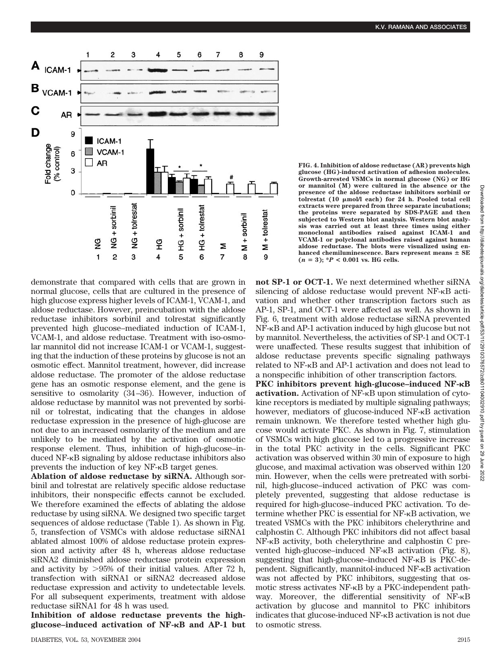

demonstrate that compared with cells that are grown in normal glucose, cells that are cultured in the presence of high glucose express higher levels of ICAM-1, VCAM-1, and aldose reductase. However, preincubation with the aldose reductase inhibitors sorbinil and tolrestat significantly prevented high glucose–mediated induction of ICAM-1, VCAM-1, and aldose reductase. Treatment with iso-osmolar mannitol did not increase ICAM-1 or VCAM-1, suggesting that the induction of these proteins by glucose is not an osmotic effect. Mannitol treatment, however, did increase aldose reductase. The promoter of the aldose reductase gene has an osmotic response element, and the gene is sensitive to osmolarity (34–36). However, induction of aldose reductase by mannitol was not prevented by sorbinil or tolrestat, indicating that the changes in aldose reductase expression in the presence of high-glucose are not due to an increased osmolarity of the medium and are unlikely to be mediated by the activation of osmotic response element. Thus, inhibition of high-glucose–induced  $NF-\kappa B$  signaling by aldose reductase inhibitors also prevents the induction of key  $NF-\kappa B$  target genes.

**Ablation of aldose reductase by siRNA.** Although sorbinil and tolrestat are relatively specific aldose reductase inhibitors, their nonspecific effects cannot be excluded. We therefore examined the effects of ablating the aldose reductase by using siRNA. We designed two specific target sequences of aldose reductase (Table 1). As shown in Fig. 5, transfection of VSMCs with aldose reductase siRNA1 ablated almost 100% of aldose reductase protein expression and activity after 48 h, whereas aldose reductase siRNA2 diminished aldose reductase protein expression and activity by  $>95\%$  of their initial values. After 72 h, transfection with siRNA1 or siRNA2 decreased aldose reductase expression and activity to undetectable levels. For all subsequent experiments, treatment with aldose reductase siRNA1 for 48 h was used.

**Inhibition of aldose reductase prevents the highglucose–induced activation of NF-B and AP-1 but** **FIG. 4. Inhibition of aldose reductase (AR) prevents high glucose (HG)-induced activation of adhesion molecules. Growth-arrested VSMCs in normal glucose (NG) or HG or mannitol (M) were cultured in the absence or the presence of the aldose reductase inhibitors sorbinil or tolrestat (10 mol/l each) for 24 h. Pooled total cell extracts were prepared from three separate incubations; the proteins were separated by SDS-PAGE and then subjected to Western blot analysis. Western blot analysis was carried out at least three times using either monoclonal antibodies raised against ICAM-1 and VCAM-1 or polyclonal antibodies raised against human aldose reductase. The blots were visualized using enhanced chemiluminescence. Bars represent means SE**  $(n = 3);$   $*P < 0.001$  vs. HG cells.

**not SP-1 or OCT-1.** We next determined whether siRNA silencing of aldose reductase would prevent NF- $\kappa$ B activation and whether other transcription factors such as AP-1, SP-1, and OCT-1 were affected as well. As shown in Fig. 6, treatment with aldose reductase siRNA prevented  $NF-\kappa B$  and  $AP-1$  activation induced by high glucose but not by mannitol. Nevertheless, the activities of SP-1 and OCT-1 were unaffected. These results suggest that inhibition of aldose reductase prevents specific signaling pathways related to NF-KB and AP-1 activation and does not lead to

a nonspecific inhibition of other transcription factors. **PKC inhibitors prevent high-glucose–induced NF-B** activation. Activation of NF-KB upon stimulation of cytokine receptors is mediated by multiple signaling pathways; however, mediators of glucose-induced NF- $\kappa$ B activation remain unknown. We therefore tested whether high glucose would activate PKC. As shown in Fig. 7, stimulation of VSMCs with high glucose led to a progressive increase in the total PKC activity in the cells. Significant PKC activation was observed within 30 min of exposure to high glucose, and maximal activation was observed within 120 min. However, when the cells were pretreated with sorbinil, high-glucose–induced activation of PKC was completely prevented, suggesting that aldose reductase is required for high-glucose–induced PKC activation. To determine whether PKC is essential for NF- $\kappa$ B activation, we treated VSMCs with the PKC inhibitors chelerythrine and calphostin C. Although PKC inhibitors did not affect basal  $NF-\kappa B$  activity, both chelerythrine and calphostin C prevented high-glucose–induced NF- $\kappa$ B activation (Fig. 8), suggesting that high-glucose–induced NF- $\kappa$ B is PKC-dependent. Significantly, mannitol-induced NF-KB activation was not affected by PKC inhibitors, suggesting that osmotic stress activates  $NF$ - $\kappa$ B by a PKC-independent pathway. Moreover, the differential sensitivity of NF- $\kappa$ B activation by glucose and mannitol to PKC inhibitors indicates that glucose-induced  $NF-\kappa B$  activation is not due to osmotic stress.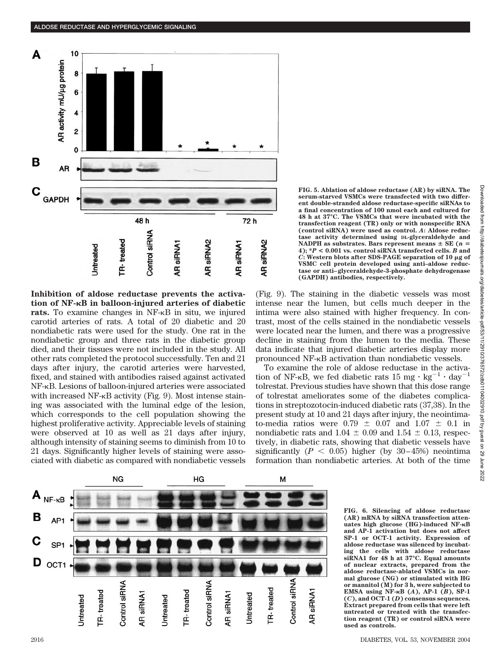

**Inhibition of aldose reductase prevents the activation of NF-B in balloon-injured arteries of diabetic rats.** To examine changes in NF- $\kappa$ B in situ, we injured carotid arteries of rats. A total of 20 diabetic and 20 nondiabetic rats were used for the study. One rat in the nondiabetic group and three rats in the diabetic group died, and their tissues were not included in the study. All other rats completed the protocol successfully. Ten and 21 days after injury, the carotid arteries were harvested, fixed, and stained with antibodies raised against activated NF-KB. Lesions of balloon-injured arteries were associated with increased  $NF$ - $\kappa$ B activity (Fig. 9). Most intense staining was associated with the luminal edge of the lesion, which corresponds to the cell population showing the highest proliferative activity. Appreciable levels of staining were observed at 10 as well as 21 days after injury, although intensity of staining seems to diminish from 10 to 21 days. Significantly higher levels of staining were associated with diabetic as compared with nondiabetic vessels **FIG. 5. Ablation of aldose reductase (AR) by siRNA. The serum-starved VSMCs were transfected with two different double-stranded aldose reductase-specific siRNAs to a final concentration of 100 nmol each and cultured for 48 h at 37°C. The VSMCs that were incubated with the transfection reagent (TR) only or with nonspecific RNA (control siRNA) were used as control.** *A***: Aldose reductase activity determined using DL-glyceraldehyde and** NADPH as substrates. Bars represent means  $\pm$  SE ( $n =$ 4);  $*P < 0.001$  vs. control siRNA transfected cells.  $\overrightarrow{B}$  and  $C$ **:** Western blots after SDS-PAGE separation of 10  $\mu$ g of **VSMC cell protein developed using anti–aldose reductase or anti– glyceraldehyde-3-phosphate dehydrogenase (GAPDH) antibodies, respectively.**

(Fig. 9). The staining in the diabetic vessels was most intense near the lumen, but cells much deeper in the intima were also stained with higher frequency. In contrast, most of the cells stained in the nondiabetic vessels were located near the lumen, and there was a progressive decline in staining from the lumen to the media. These data indicate that injured diabetic arteries display more pronounced NF- $\kappa$ B activation than nondiabetic vessels.

To examine the role of aldose reductase in the activation of NF- $\kappa$ B, we fed diabetic rats 15 mg  $\cdot$  kg<sup>-1</sup>  $\cdot$  day<sup>-1</sup> tolrestat. Previous studies have shown that this dose range of tolrestat ameliorates some of the diabetes complications in streptozotocin-induced diabetic rats (37,38). In the present study at 10 and 21 days after injury, the neointimato-media ratios were  $0.79 \pm 0.07$  and  $1.07 \pm 0.1$  in nondiabetic rats and  $1.04 \pm 0.09$  and  $1.54 \pm 0.13$ , respectively, in diabetic rats, showing that diabetic vessels have significantly  $(P < 0.05)$  higher (by 30–45%) neointima formation than nondiabetic arteries. At both of the time



**FIG. 6. Silencing of aldose reductase (AR) mRNA by siRNA transfection attenuates high glucose (HG)-induced NF-B and AP-1 activation but does not affect SP-1 or OCT-1 activity. Expression of aldose reductase was silenced by incubating the cells with aldose reductase siRNA1 for 48 h at 37°C. Equal amounts of nuclear extracts, prepared from the aldose reductase-ablated VSMCs in normal glucose (NG) or stimulated with HG or mannitol (M) for 3 h, were subjected to EMSA using NF-B (***A***), AP-1 (***B***), SP-1 (***C***), and OCT-1 (***D***) consensus sequences. Extract prepared from cells that were left untreated or treated with the transfection reagent (TR) or control siRNA were used as controls.**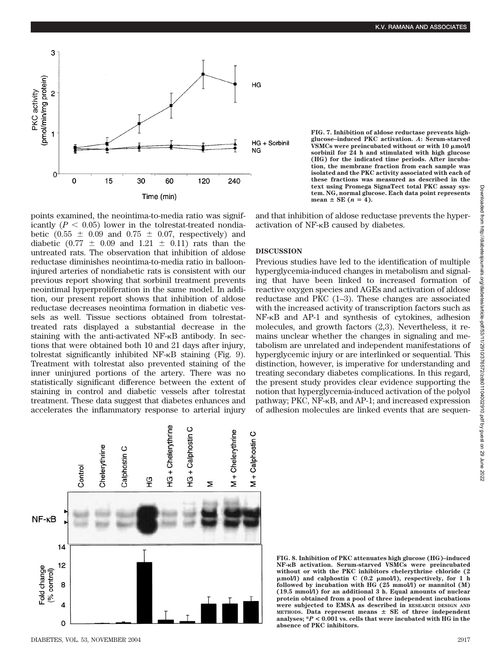

points examined, the neointima-to-media ratio was significantly  $(P < 0.05)$  lower in the tolrestat-treated nondiabetic (0.55  $\pm$  0.09 and 0.75  $\pm$  0.07, respectively) and diabetic  $(0.77 \pm 0.09$  and  $1.21 \pm 0.11)$  rats than the untreated rats. The observation that inhibition of aldose reductase diminishes neointima-to-media ratio in ballooninjured arteries of nondiabetic rats is consistent with our previous report showing that sorbinil treatment prevents neointimal hyperproliferation in the same model. In addition, our present report shows that inhibition of aldose reductase decreases neointima formation in diabetic vessels as well. Tissue sections obtained from tolrestattreated rats displayed a substantial decrease in the staining with the anti-activated NF-<sub>K</sub>B antibody. In sections that were obtained both 10 and 21 days after injury, tolrestat significantly inhibited  $NF-<sub>K</sub>B$  staining (Fig. 9). Treatment with tolrestat also prevented staining of the inner uninjured portions of the artery. There was no statistically significant difference between the extent of staining in control and diabetic vessels after tolrestat treatment. These data suggest that diabetes enhances and accelerates the inflammatory response to arterial injury

**FIG. 7. Inhibition of aldose reductase prevents highglucose–induced PKC activation.** *A***: Serum-starved** VSMCs were preincubated without or with 10  $\mu$ mol/l **sorbinil for 24 h and stimulated with high glucose (HG) for the indicated time periods. After incubation, the membrane fraction from each sample was isolated and the PKC activity associated with each of these fractions was measured as described in the text using Promega SignaTect total PKC assay system. NG, normal glucose. Each data point represents**  $mean \pm SE$  ( $n = 4$ ).

and that inhibition of aldose reductase prevents the hyperactivation of NF- $\kappa$ B caused by diabetes.

# **DISCUSSION**

Previous studies have led to the identification of multiple hyperglycemia-induced changes in metabolism and signaling that have been linked to increased formation of reactive oxygen species and AGEs and activation of aldose reductase and PKC (1–3). These changes are associated with the increased activity of transcription factors such as NF-KB and AP-1 and synthesis of cytokines, adhesion molecules, and growth factors (2,3). Nevertheless, it remains unclear whether the changes in signaling and metabolism are unrelated and independent manifestations of hyperglycemic injury or are interlinked or sequential. This distinction, however, is imperative for understanding and treating secondary diabetes complications. In this regard, the present study provides clear evidence supporting the notion that hyperglycemia-induced activation of the polyol pathway; PKC,  $NF-\kappa B$ , and  $AP-1$ ; and increased expression of adhesion molecules are linked events that are sequen-



**FIG. 8. Inhibition of PKC attenuates high glucose (HG)–induced NF-B activation. Serum-starved VSMCs were preincubated without or with the PKC inhibitors chelerythrine chloride (2 mol/l) and calphostin C (0.2 mol/l), respectively, for 1 h followed by incubation with HG (25 mmol/l) or mannitol (M) (19.5 mmol/l) for an additional 3 h. Equal amounts of nuclear protein obtained from a pool of three independent incubations were subjected to EMSA as described in RESEARCH DESIGN AND METHODS. Data represent means SE of three independent analyses; \****P* **< 0.001 vs. cells that were incubated with HG in the absence of PKC inhibitors.**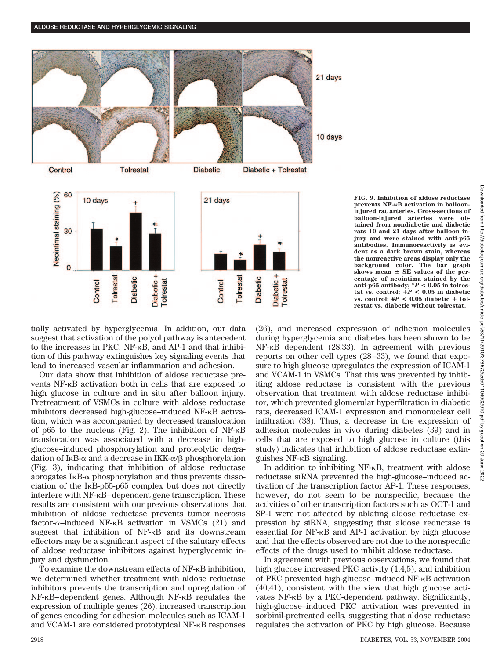

tially activated by hyperglycemia. In addition, our data suggest that activation of the polyol pathway is antecedent to the increases in PKC, NF- $\kappa$ B, and AP-1 and that inhibition of this pathway extinguishes key signaling events that lead to increased vascular inflammation and adhesion.

Our data show that inhibition of aldose reductase prevents NF- $\kappa$ B activation both in cells that are exposed to high glucose in culture and in situ after balloon injury. Pretreatment of VSMCs in culture with aldose reductase inhibitors decreased high-glucose–induced NF- $\kappa$ B activation, which was accompanied by decreased translocation of p65 to the nucleus (Fig. 2). The inhibition of  $NF-<sub>K</sub>B$ translocation was associated with a decrease in highglucose–induced phosphorylation and proteolytic degradation of  $I \kappa B$ - $\alpha$  and a decrease in IKK- $\alpha/\beta$  phosphorylation (Fig. 3), indicating that inhibition of aldose reductase abrogates  $I \kappa B$ - $\alpha$  phosphorylation and thus prevents dissociation of the  $I<sub>K</sub>B-p55-p65$  complex but does not directly interfere with NF- $\kappa$ B–dependent gene transcription. These results are consistent with our previous observations that inhibition of aldose reductase prevents tumor necrosis  $factor$ - $\alpha$ -induced NF- $\kappa$ B activation in VSMCs (21) and suggest that inhibition of NF- $\kappa$ B and its downstream effectors may be a significant aspect of the salutary effects of aldose reductase inhibitors against hyperglycemic injury and dysfunction.

To examine the downstream effects of NF- $\kappa$ B inhibition, we determined whether treatment with aldose reductase inhibitors prevents the transcription and upregulation of  $NF-\kappa B$ –dependent genes. Although  $NF-\kappa B$  regulates the expression of multiple genes (26), increased transcription of genes encoding for adhesion molecules such as ICAM-1 and VCAM-1 are considered prototypical NF- $\kappa$ B responses

**FIG. 9. Inhibition of aldose reductase prevents NF-B activation in ballooninjured rat arteries. Cross-sections of balloon-injured arteries were obtained from nondiabetic and diabetic rats 10 and 21 days after balloon injury and were stained with anti-p65 antibodies. Immunoreactivity is evident as a dark brown stain, whereas the nonreactive areas display only the background color. The bar graph** shows mean  $\pm$  SE values of the per**centage of neointima stained by the** anti-p65 antibody;  $*P < 0.05$  in tolres- $\tan x$ **is.** control;  $+P < 0.05$  in diabetic vs. control;  $#P < 0.05$  diabetic + tol**restat vs. diabetic without tolrestat.**

(26), and increased expression of adhesion molecules during hyperglycemia and diabetes has been shown to be  $NF-KB$  dependent (28,33). In agreement with previous reports on other cell types (28–33), we found that exposure to high glucose upregulates the expression of ICAM-1 and VCAM-1 in VSMCs. That this was prevented by inhibiting aldose reductase is consistent with the previous observation that treatment with aldose reductase inhibitor, which prevented glomerular hyperfiltration in diabetic rats, decreased ICAM-1 expression and mononuclear cell infiltration (38). Thus, a decrease in the expression of adhesion molecules in vivo during diabetes (39) and in cells that are exposed to high glucose in culture (this study) indicates that inhibition of aldose reductase extinguishes  $NF-\kappa B$  signaling.

In addition to inhibiting NF- $\kappa$ B, treatment with aldose reductase siRNA prevented the high-glucose–induced activation of the transcription factor AP-1. These responses, however, do not seem to be nonspecific, because the activities of other transcription factors such as OCT-1 and SP-1 were not affected by ablating aldose reductase expression by siRNA, suggesting that aldose reductase is essential for  $NF-\kappa B$  and  $AP-1$  activation by high glucose and that the effects observed are not due to the nonspecific effects of the drugs used to inhibit aldose reductase.

In agreement with previous observations, we found that high glucose increased PKC activity (1,4,5), and inhibition of PKC prevented high-glucose-induced NF- $\kappa$ B activation (40,41), consistent with the view that high glucose activates  $NF$ - $\kappa$ B by a PKC-dependent pathway. Significantly, high-glucose–induced PKC activation was prevented in sorbinil-pretreated cells, suggesting that aldose reductase regulates the activation of PKC by high glucose. Because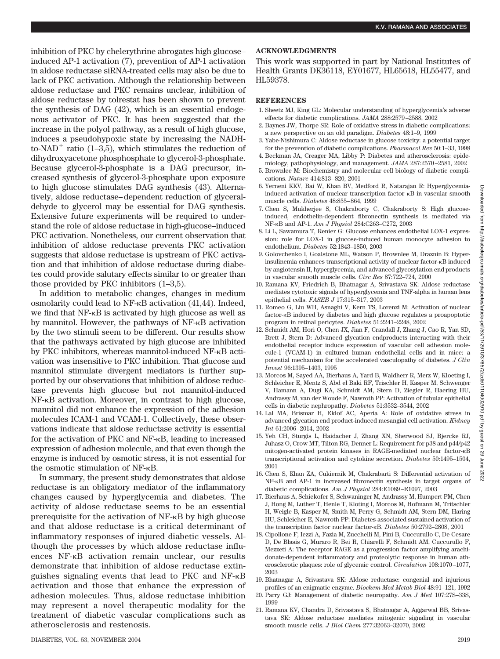2022

# inhibition of PKC by chelerythrine abrogates high glucose– induced AP-1 activation (7), prevention of AP-1 activation in aldose reductase siRNA-treated cells may also be due to lack of PKC activation. Although the relationship between aldose reductase and PKC remains unclear, inhibition of aldose reductase by tolrestat has been shown to prevent the synthesis of DAG (42), which is an essential endogenous activator of PKC. It has been suggested that the increase in the polyol pathway, as a result of high glucose, induces a pseudohypoxic state by increasing the NADHto-NAD<sup>+</sup> ratio (1–3,5), which stimulates the reduction of dihydroxyacetone phosphosphate to glycerol-3-phosphate. Because glycerol-3-phosphate is a DAG precursor, increased synthesis of glycerol-3-phosphate upon exposure to high glucose stimulates DAG synthesis (43). Alternatively, aldose reductase–dependent reduction of glyceraldehyde to glycerol may be essential for DAG synthesis. Extensive future experiments will be required to understand the role of aldose reductase in high-glucose–induced PKC activation. Nonetheless, our current observation that inhibition of aldose reductase prevents PKC activation suggests that aldose reductase is upstream of PKC activation and that inhibition of aldose reductase during diabetes could provide salutary effects similar to or greater than those provided by PKC inhibitors (1–3,5).

In addition to metabolic changes, changes in medium osmolarity could lead to NF- $\kappa$ B activation (41,44). Indeed, we find that  $NF-\kappa B$  is activated by high glucose as well as by mannitol. However, the pathways of  $NF-\kappa B$  activation by the two stimuli seem to be different. Our results show that the pathways activated by high glucose are inhibited by PKC inhibitors, whereas mannitol-induced NF- $\kappa$ B activation was insensitive to PKC inhibition. That glucose and mannitol stimulate divergent mediators is further supported by our observations that inhibition of aldose reductase prevents high glucose but not mannitol-induced NF- $\kappa$ B activation. Moreover, in contrast to high glucose, mannitol did not enhance the expression of the adhesion molecules ICAM-1 and VCAM-1. Collectively, these observations indicate that aldose reductase activity is essential for the activation of PKC and  $NF-<sub>k</sub>B$ , leading to increased expression of adhesion molecule, and that even though the enzyme is induced by osmotic stress, it is not essential for the osmotic stimulation of NF- $\kappa$ B.

In summary, the present study demonstrates that aldose reductase is an obligatory mediator of the inflammatory changes caused by hyperglycemia and diabetes. The activity of aldose reductase seems to be an essential prerequisite for the activation of  $NF$ - $\kappa$ B by high glucose and that aldose reductase is a critical determinant of inflammatory responses of injured diabetic vessels. Although the processes by which aldose reductase influences NF- $\kappa$ B activation remain unclear, our results demonstrate that inhibition of aldose reductase extinguishes signaling events that lead to PKC and  $NF-\kappa B$ activation and those that enhance the expression of adhesion molecules. Thus, aldose reductase inhibition may represent a novel therapeutic modality for the treatment of diabetic vascular complications such as atherosclerosis and restenosis.

## DIABETES, VOL. 53, NOVEMBER 2004 2919

## **ACKNOWLEDGMENTS**

This work was supported in part by National Institutes of Health Grants DK36118, EY01677, HL65618, HL55477, and HL59378.

## **REFERENCES**

- 1. Sheetz MJ, King GL: Molecular understanding of hyperglycemia's adverse effects for diabetic complications. *JAMA* 288:2579–2588, 2002
- 2. Baynes JW, Thorpe SR: Role of oxidative stress in diabetic complications: a new perspective on an old paradigm. *Diabetes* 48:1–9, 1999
- 3. Yabe-Nishimura C: Aldose reductase in glucose toxicity: a potential target for the prevention of diabetic complications. *Pharmacol Rev* 50:1–33, 1998
- 4. Beckman JA, Creager MA, Libby P: Diabetes and atherosclerosis: epidemiology, pathophysiology, and management. *JAMA* 287:2570–2581, 2002
- 5. Brownlee M: Biochemistry and molecular cell biology of diabetic complications. *Nature* 414:813–820, 2001
- 6. Yerneni KKV, Bai W, Khan BV, Medford R, Natarajan R: Hyperglycemiainduced activation of nuclear transcription factor  $\kappa B$  in vascular smooth muscle cells. *Diabetes* 48:855–864, 1999
- 7. Chen S, Mukherjee S, Chakraborty C, Chakraborty S: High glucoseinduced, endothelin-dependent fibronectin synthesis is mediated via NF-B and AP-1. *Am J Physiol* 284:C263–C272, 2003
- 8. Li L, Sawamura T, Renier G: Glucose enhances endothelial LOX-1 expression: role for LOX-1 in glucose-induced human monocyte adhesion to endothelium. *Diabetes* 52:1843–1850, 2003
- 9. Golovchenko I, Goalstone ML, Watson P, Brownlee M, Draznin B: Hyperinsulinemia enhances transcriptional activity of nuclear factor- $\kappa$ B induced by angiotensin II, hyperglycemia, and advanced glycosylation end products in vascular smooth muscle cells. *Circ Res* 87:722–724, 2000
- 10. Ramana KV, Friedrich B, Bhatnagar A, Srivastava SK: Aldose reductase mediates cytotoxic signals of hyperglycemia and TNF-alpha in human lens epithelial cells. *FASEB J* 17:315–317, 2003
- 11. Romeo G, Liu WH, Asnaghi V, Kern TS, Lorenzi M: Activation of nuclear factor- $\kappa$ B induced by diabetes and high glucose regulates a proapoptotic program in retinal pericytes. *Diabetes* 51:2241–2248, 2002
- 12. Schmidt AM, Hori O, Chen JX, Jian F, Crandall J, Zhang J, Cao R, Yan SD, Brett J, Stern D: Advanced glycation endproducts interacting with their endothelial receptor induce expression of vascular cell adhesion molecule-1 (VCAM-1) in cultured human endothelial cells and in mice: a potential mechanism for the accelerated vasculopathy of diabetes. *J Clin Invest* 96:1395–1403, 1995
- 13. Morcos M, Sayed AA, Bierhaus A, Yard B, Waldherr R, Merz W, Kloeting I, Schleicher E, Mentz S, Abd el Baki RF, Trischler H, Kasper M, Schwenger V, Hamann A, Dugi KA, Schmidt AM, Stern D, Ziegler R, Haering HU, Andrassy M, van der Woude F, Nawroth PP: Activation of tubular epithelial cells in diabetic nephropathy. *Diabetes* 51:3532–3544, 2002
- 14. Lal MA, Brismar H, Eklof AC, Aperia A: Role of oxidative stress in advanced glycation end product-induced mesangial cell activation. *Kidney Int* 61:2006–2014, 2002
- 15. Yeh CH, Sturgis L, Haidacher J, Zhang XN, Sherwood SJ, Bjercke RJ, Juhasz O, Crow MT, Tilton RG, Denner L: Requirement for p38 and p44/p42 mitogen-activated protein kinases in RAGE-mediated nuclear factor- $\kappa$ B transcriptional activation and cytokine secretion. *Diabetes* 50:1495–1504, 2001
- 16. Chen S, Khan ZA, Cukiernik M, Chakrabarti S: Differential activation of NF- $\kappa$ B and AP-1 in increased fibronectin synthesis in target organs of diabetic complications. *Am J Physiol* 284:E1089–E1097, 2003
- 17. Bierhaus A, Schiekofer S, Schwaninger M, Andrassy M, Humpert PM, Chen J, Hong M, Luther T, Henle T, Kloting I, Morcos M, Hofmann M, Tritschler H, Weigle B, Kasper M, Smith M, Perry G, Schmidt AM, Stern DM, Haring HU, Schleicher E, Nawroth PP: Diabetes-associated sustained activation of the transcription factor nuclear factor- $\kappa$ B. *Diabetes* 50:2792-2808, 2001
- 18. Cipollone F, Iezzi A, Fazia M, Zucchelli M, Pini B, Cuccurullo C, De Cesare D, De Blasis G, Muraro R, Bei R, Chiarelli F, Schmidt AM, Cuccurullo F, Mezzeti A: The receptor RAGE as a progression factor amplifying arachidonate-dependent inflammatory and proteolytic response in human atherosclerotic plaques: role of glycemic control. *Circulation* 108:1070–1077, 2003
- 19. Bhatnagar A, Srivastava SK: Aldose reductase: congenial and injurious profiles of an enigmatic enzyme. *Biochem Med Metab Biol* 48:91–121, 1992
- 20. Parry GJ: Management of diabetic neuropathy. *Am J Med* 107:27S–33S, 1999
- 21. Ramana KV, Chandra D, Srivastava S, Bhatnagar A, Aggarwal BB, Srivastava SK: Aldose reductase mediates mitogenic signaling in vascular smooth muscle cells. *J Biol Chem* 277:32063–32070, 2002